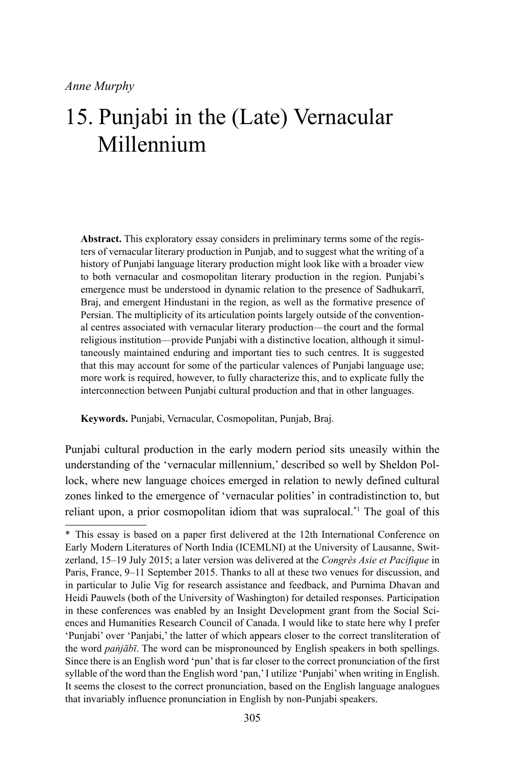**Abstract.** This exploratory essay considers in preliminary terms some of the registers of vernacular literary production in Punjab, and to suggest what the writing of a history of Punjabi language literary production might look like with a broader view to both vernacular and cosmopolitan literary production in the region. Punjabi's emergence must be understood in dynamic relation to the presence of Sadhukarrī, Braj, and emergent Hindustani in the region, as well as the formative presence of Persian. The multiplicity of its articulation points largely outside of the conventional centres associated with vernacular literary production—the court and the formal religious institution—provide Punjabi with a distinctive location, although it simultaneously maintained enduring and important ties to such centres. It is suggested that this may account for some of the particular valences of Punjabi language use; more work is required, however, to fully characterize this, and to explicate fully the interconnection between Punjabi cultural production and that in other languages.

**Keywords.** Punjabi, Vernacular, Cosmopolitan, Punjab, Braj.

Punjabi cultural production in the early modern period sits uneasily within the understanding of the 'vernacular millennium,' described so well by Sheldon Pollock, where new language choices emerged in relation to newly defined cultural zones linked to the emergence of 'vernacular polities' in contradistinction to, but reliant upon, a prior cosmopolitan idiom that was supralocal.\*1 The goal of this

<sup>\*</sup> This essay is based on a paper first delivered at the 12th International Conference on Early Modern Literatures of North India (ICEMLNI) at the University of Lausanne, Switzerland, 15–19 July 2015; a later version was delivered at the *Congrès Asie et Pacifique* in Paris, France, 9–11 September 2015. Thanks to all at these two venues for discussion, and in particular to Julie Vig for research assistance and feedback, and Purnima Dhavan and Heidi Pauwels (both of the University of Washington) for detailed responses. Participation in these conferences was enabled by an Insight Development grant from the Social Sciences and Humanities Research Council of Canada. I would like to state here why I prefer 'Punjabi' over 'Panjabi,' the latter of which appears closer to the correct transliteration of the word *paṅjābī*. The word can be mispronounced by English speakers in both spellings. Since there is an English word 'pun' that is far closer to the correct pronunciation of the first syllable of the word than the English word 'pan,' I utilize 'Punjabi' when writing in English. It seems the closest to the correct pronunciation, based on the English language analogues that invariably influence pronunciation in English by non-Punjabi speakers.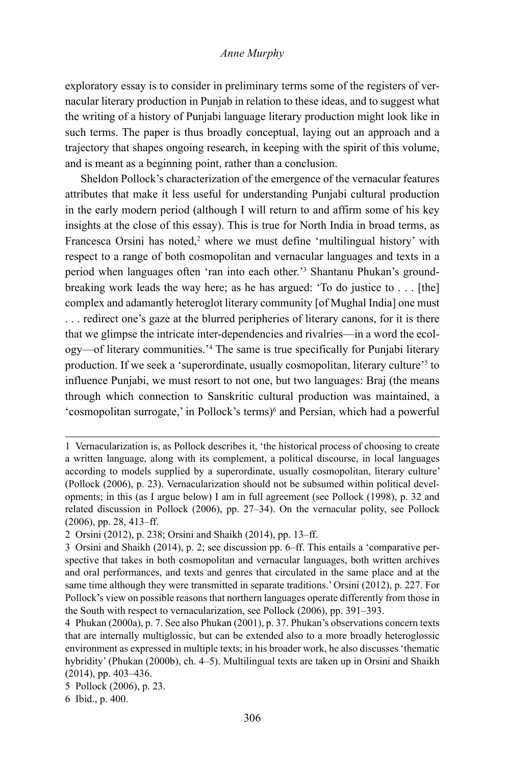exploratory essay is to consider in preliminary terms some of the registers of vernacular literary production in Punjab in relation to these ideas, and to suggest what the writing of a history of Punjabi language literary production might look like in such terms. The paper is thus broadly conceptual, laying out an approach and a trajectory that shapes ongoing research, in keeping with the spirit of this volume, and is meant as a beginning point, rather than a conclusion.

Sheldon Pollock's characterization of the emergence of the vernacular features attributes that make it less useful for understanding Punjabi cultural production in the early modern period (although I will return to and affirm some of his key insights at the close of this essay). This is true for North India in broad terms, as Francesca Orsini has noted,<sup>2</sup> where we must define 'multilingual history' with respect to a range of both cosmopolitan and vernacular languages and texts in a period when languages often 'ran into each other.'3 Shantanu Phukan's groundbreaking work leads the way here; as he has argued: 'To do justice to . . . [the] complex and adamantly heteroglot literary community [of Mughal India] one must . . . redirect one's gaze at the blurred peripheries of literary canons, for it is there that we glimpse the intricate inter-dependencies and rivalries—in a word the ecology—of literary communities.'4 The same is true specifically for Punjabi literary production. If we seek a 'superordinate, usually cosmopolitan, literary culture'5 to influence Punjabi, we must resort to not one, but two languages: Braj (the means through which connection to Sanskritic cultural production was maintained, a 'cosmopolitan surrogate,' in Pollock's terms)6 and Persian, which had a powerful

<sup>1</sup> Vernacularization is, as Pollock describes it, 'the historical process of choosing to create a written language, along with its complement, a political discourse, in local languages according to models supplied by a superordinate, usually cosmopolitan, literary culture' (Pollock (2006), p. 23). Vernacularization should not be subsumed within political developments; in this (as I argue below) I am in full agreement (see Pollock (1998), p. 32 and related discussion in Pollock (2006), pp. 27–34). On the vernacular polity, see Pollock (2006), pp. 28, 413–ff.

<sup>2</sup> Orsini (2012), p. 238; Orsini and Shaikh (2014), pp. 13–ff.

<sup>3</sup> Orsini and Shaikh (2014), p. 2; see discussion pp. 6–ff. This entails a 'comparative perspective that takes in both cosmopolitan and vernacular languages, both written archives and oral performances, and texts and genres that circulated in the same place and at the same time although they were transmitted in separate traditions.' Orsini (2012), p. 227. For Pollock's view on possible reasons that northern languages operate differently from those in the South with respect to vernacularization, see Pollock (2006), pp. 391–393.

<sup>4</sup> Phukan (2000a), p. 7. See also Phukan (2001), p. 37. Phukan's observations concern texts that are internally multiglossic, but can be extended also to a more broadly heteroglossic environment as expressed in multiple texts; in his broader work, he also discusses 'thematic hybridity' (Phukan (2000b), ch. 4–5). Multilingual texts are taken up in Orsini and Shaikh (2014), pp. 403–436.

<sup>5</sup> Pollock (2006), p. 23.

<sup>6</sup> Ibid., p. 400.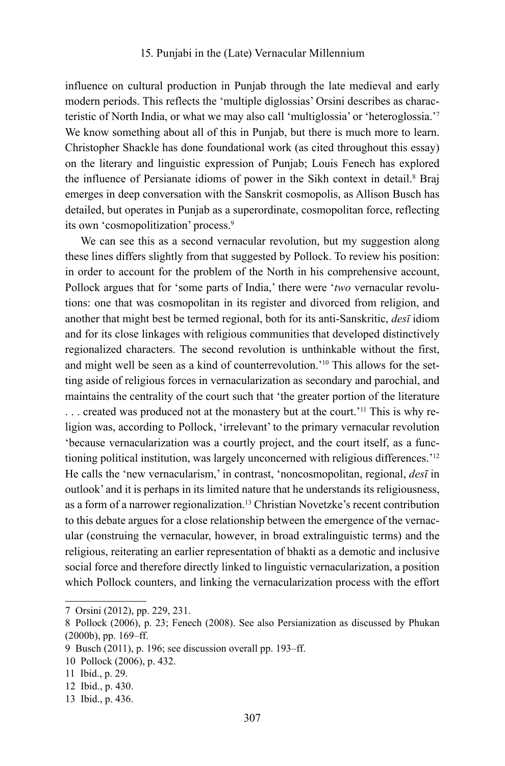influence on cultural production in Punjab through the late medieval and early modern periods. This reflects the 'multiple diglossias' Orsini describes as characteristic of North India, or what we may also call 'multiglossia' or 'heteroglossia.'7 We know something about all of this in Punjab, but there is much more to learn. Christopher Shackle has done foundational work (as cited throughout this essay) on the literary and linguistic expression of Punjab; Louis Fenech has explored the influence of Persianate idioms of power in the Sikh context in detail.<sup>8</sup> Braj emerges in deep conversation with the Sanskrit cosmopolis, as Allison Busch has detailed, but operates in Punjab as a superordinate, cosmopolitan force, reflecting its own 'cosmopolitization' process.9

We can see this as a second vernacular revolution, but my suggestion along these lines differs slightly from that suggested by Pollock. To review his position: in order to account for the problem of the North in his comprehensive account, Pollock argues that for 'some parts of India,' there were '*two* vernacular revolutions: one that was cosmopolitan in its register and divorced from religion, and another that might best be termed regional, both for its anti-Sanskritic, *desī* idiom and for its close linkages with religious communities that developed distinctively regionalized characters. The second revolution is unthinkable without the first, and might well be seen as a kind of counterrevolution.'10 This allows for the setting aside of religious forces in vernacularization as secondary and parochial, and maintains the centrality of the court such that 'the greater portion of the literature ... created was produced not at the monastery but at the court.<sup>'11</sup> This is why religion was, according to Pollock, 'irrelevant' to the primary vernacular revolution 'because vernacularization was a courtly project, and the court itself, as a functioning political institution, was largely unconcerned with religious differences.'12 He calls the 'new vernacularism,' in contrast, 'noncosmopolitan, regional, *desī* in outlook' and it is perhaps in its limited nature that he understands its religiousness, as a form of a narrower regionalization.13 Christian Novetzke's recent contribution to this debate argues for a close relationship between the emergence of the vernacular (construing the vernacular, however, in broad extralinguistic terms) and the religious, reiterating an earlier representation of bhakti as a demotic and inclusive social force and therefore directly linked to linguistic vernacularization, a position which Pollock counters, and linking the vernacularization process with the effort

<sup>7</sup> Orsini (2012), pp. 229, 231.

<sup>8</sup> Pollock (2006), p. 23; Fenech (2008). See also Persianization as discussed by Phukan (2000b), pp. 169–ff.

<sup>9</sup> Busch (2011), p. 196; see discussion overall pp. 193–ff.

<sup>10</sup> Pollock (2006), p. 432.

<sup>11</sup> Ibid., p. 29.

<sup>12</sup> Ibid., p. 430.

<sup>13</sup> Ibid., p. 436.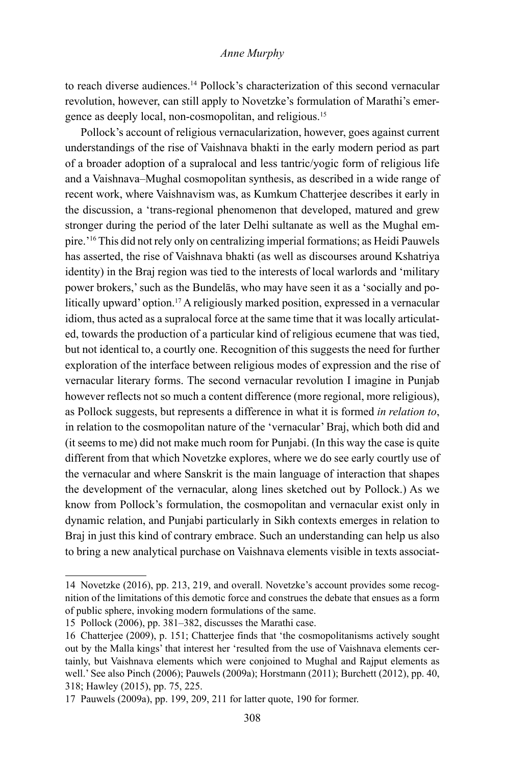to reach diverse audiences.<sup>14</sup> Pollock's characterization of this second vernacular revolution, however, can still apply to Novetzke's formulation of Marathi's emergence as deeply local, non-cosmopolitan, and religious.15

Pollock's account of religious vernacularization, however, goes against current understandings of the rise of Vaishnava bhakti in the early modern period as part of a broader adoption of a supralocal and less tantric/yogic form of religious life and a Vaishnava–Mughal cosmopolitan synthesis, as described in a wide range of recent work, where Vaishnavism was, as Kumkum Chatterjee describes it early in the discussion, a 'trans-regional phenomenon that developed, matured and grew stronger during the period of the later Delhi sultanate as well as the Mughal empire.'16 This did not rely only on centralizing imperial formations; as Heidi Pauwels has asserted, the rise of Vaishnava bhakti (as well as discourses around Kshatriya identity) in the Braj region was tied to the interests of local warlords and 'military power brokers,' such as the Bundelās, who may have seen it as a 'socially and politically upward' option.<sup>17</sup> A religiously marked position, expressed in a vernacular idiom, thus acted as a supralocal force at the same time that it was locally articulated, towards the production of a particular kind of religious ecumene that was tied, but not identical to, a courtly one. Recognition of this suggests the need for further exploration of the interface between religious modes of expression and the rise of vernacular literary forms. The second vernacular revolution I imagine in Punjab however reflects not so much a content difference (more regional, more religious), as Pollock suggests, but represents a difference in what it is formed *in relation to*, in relation to the cosmopolitan nature of the 'vernacular' Braj, which both did and (it seems to me) did not make much room for Punjabi. (In this way the case is quite different from that which Novetzke explores, where we do see early courtly use of the vernacular and where Sanskrit is the main language of interaction that shapes the development of the vernacular, along lines sketched out by Pollock.) As we know from Pollock's formulation, the cosmopolitan and vernacular exist only in dynamic relation, and Punjabi particularly in Sikh contexts emerges in relation to Braj in just this kind of contrary embrace. Such an understanding can help us also to bring a new analytical purchase on Vaishnava elements visible in texts associat-

<sup>14</sup> Novetzke (2016), pp. 213, 219, and overall. Novetzke's account provides some recognition of the limitations of this demotic force and construes the debate that ensues as a form of public sphere, invoking modern formulations of the same.

<sup>15</sup> Pollock (2006), pp. 381–382, discusses the Marathi case.

<sup>16</sup> Chatterjee (2009), p. 151; Chatterjee finds that 'the cosmopolitanisms actively sought out by the Malla kings' that interest her 'resulted from the use of Vaishnava elements certainly, but Vaishnava elements which were conjoined to Mughal and Rajput elements as well.' See also Pinch (2006); Pauwels (2009a); Horstmann (2011); Burchett (2012), pp. 40, 318; Hawley (2015), pp. 75, 225.

<sup>17</sup> Pauwels (2009a), pp. 199, 209, 211 for latter quote, 190 for former.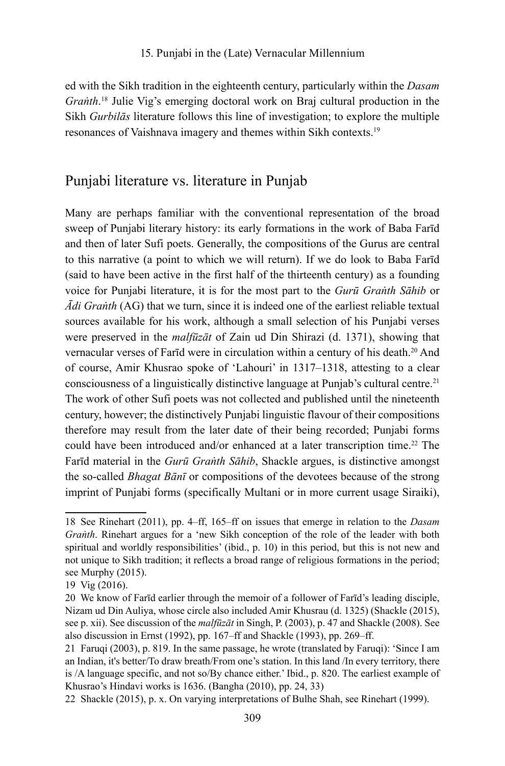ed with the Sikh tradition in the eighteenth century, particularly within the *Dasam Graṅth*. 18 Julie Vig's emerging doctoral work on Braj cultural production in the Sikh *Gurbilās* literature follows this line of investigation; to explore the multiple resonances of Vaishnava imagery and themes within Sikh contexts.19

# Punjabi literature vs. literature in Punjab

Many are perhaps familiar with the conventional representation of the broad sweep of Punjabi literary history: its early formations in the work of Baba Farīd and then of later Sufi poets. Generally, the compositions of the Gurus are central to this narrative (a point to which we will return). If we do look to Baba Farīd (said to have been active in the first half of the thirteenth century) as a founding voice for Punjabi literature, it is for the most part to the *Gurū Graṅth Sāhib* or *Ādi Graṅth* (AG) that we turn, since it is indeed one of the earliest reliable textual sources available for his work, although a small selection of his Punjabi verses were preserved in the *malfūzāt* of Zain ud Din Shirazi (d. 1371), showing that vernacular verses of Farīd were in circulation within a century of his death.20 And of course, Amir Khusrao spoke of 'Lahouri' in 1317–1318, attesting to a clear consciousness of a linguistically distinctive language at Punjab's cultural centre.21 The work of other Sufi poets was not collected and published until the nineteenth century, however; the distinctively Punjabi linguistic flavour of their compositions therefore may result from the later date of their being recorded; Punjabi forms could have been introduced and/or enhanced at a later transcription time.<sup>22</sup> The Farīd material in the *Gurū Graṅth Sāhib*, Shackle argues, is distinctive amongst the so-called *Bhagat Bānī* or compositions of the devotees because of the strong imprint of Punjabi forms (specifically Multani or in more current usage Siraiki),

<sup>18</sup> See Rinehart (2011), pp. 4–ff, 165–ff on issues that emerge in relation to the *Dasam Graṅth*. Rinehart argues for a 'new Sikh conception of the role of the leader with both spiritual and worldly responsibilities' (ibid., p. 10) in this period, but this is not new and not unique to Sikh tradition; it reflects a broad range of religious formations in the period; see Murphy (2015).

<sup>19</sup> Vig (2016).

<sup>20</sup> We know of Farīd earlier through the memoir of a follower of Farīd's leading disciple, Nizam ud Din Auliya, whose circle also included Amir Khusrau (d. 1325) (Shackle (2015), see p. xii). See discussion of the *malfūzāt* in Singh, P. (2003), p. 47 and Shackle (2008). See also discussion in Ernst (1992), pp. 167–ff and Shackle (1993), pp. 269–ff.

<sup>21</sup> Faruqi (2003), p. 819. In the same passage, he wrote (translated by Faruqi): 'Since I am an Indian, it's better/To draw breath/From one's station. In this land /In every territory, there is /A language specific, and not so/By chance either.' Ibid., p. 820. The earliest example of Khusrao's Hindavi works is 1636. (Bangha (2010), pp. 24, 33)

<sup>22</sup> Shackle (2015), p. x. On varying interpretations of Bulhe Shah, see Rinehart (1999).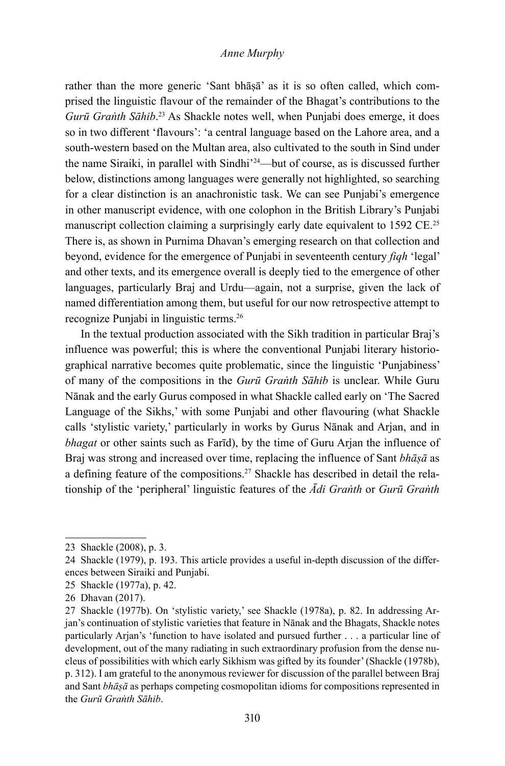rather than the more generic 'Sant bhāṣā' as it is so often called, which comprised the linguistic flavour of the remainder of the Bhagat's contributions to the *Gurū Graṅth Sāhib*. 23 As Shackle notes well, when Punjabi does emerge, it does so in two different 'flavours': 'a central language based on the Lahore area, and a south-western based on the Multan area, also cultivated to the south in Sind under the name Siraiki, in parallel with Sindhi'24—but of course, as is discussed further below, distinctions among languages were generally not highlighted, so searching for a clear distinction is an anachronistic task. We can see Punjabi's emergence in other manuscript evidence, with one colophon in the British Library's Punjabi manuscript collection claiming a surprisingly early date equivalent to 1592 CE.<sup>25</sup> There is, as shown in Purnima Dhavan's emerging research on that collection and beyond, evidence for the emergence of Punjabi in seventeenth century *fiqh* 'legal' and other texts, and its emergence overall is deeply tied to the emergence of other languages, particularly Braj and Urdu—again, not a surprise, given the lack of named differentiation among them, but useful for our now retrospective attempt to recognize Punjabi in linguistic terms.26

In the textual production associated with the Sikh tradition in particular Braj's influence was powerful; this is where the conventional Punjabi literary historiographical narrative becomes quite problematic, since the linguistic 'Punjabiness' of many of the compositions in the *Gurū Graṅth Sāhib* is unclear. While Guru Nānak and the early Gurus composed in what Shackle called early on 'The Sacred Language of the Sikhs,' with some Punjabi and other flavouring (what Shackle calls 'stylistic variety,' particularly in works by Gurus Nānak and Arjan, and in *bhagat* or other saints such as Farīd), by the time of Guru Arjan the influence of Braj was strong and increased over time, replacing the influence of Sant *bhāṣā* as a defining feature of the compositions.<sup>27</sup> Shackle has described in detail the relationship of the 'peripheral' linguistic features of the *Ādi Graṅth* or *Gurū Graṅth* 

<sup>23</sup> Shackle (2008), p. 3.

<sup>24</sup> Shackle (1979), p. 193. This article provides a useful in-depth discussion of the differences between Siraiki and Punjabi.

<sup>25</sup> Shackle (1977a), p. 42.

<sup>26</sup> Dhavan (2017).

<sup>27</sup> Shackle (1977b). On 'stylistic variety,' see Shackle (1978a), p. 82. In addressing Arjan's continuation of stylistic varieties that feature in Nānak and the Bhagats, Shackle notes particularly Arjan's 'function to have isolated and pursued further . . . a particular line of development, out of the many radiating in such extraordinary profusion from the dense nucleus of possibilities with which early Sikhism was gifted by its founder' (Shackle (1978b), p. 312). I am grateful to the anonymous reviewer for discussion of the parallel between Braj and Sant *bhāṣā* as perhaps competing cosmopolitan idioms for compositions represented in the *Gurū Graṅth Sāhib*.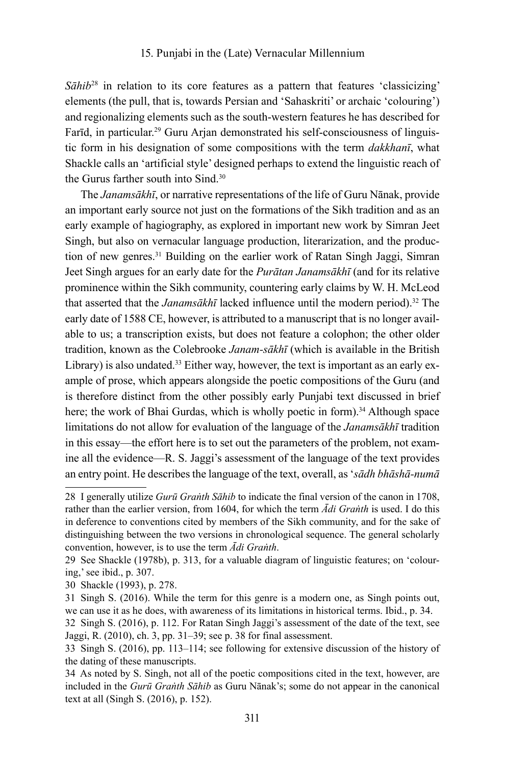*Sāhib*<sup>28</sup> in relation to its core features as a pattern that features 'classicizing' elements (the pull, that is, towards Persian and 'Sahaskriti' or archaic 'colouring') and regionalizing elements such as the south-western features he has described for Farīd, in particular.<sup>29</sup> Guru Arjan demonstrated his self-consciousness of linguistic form in his designation of some compositions with the term *dakkhanī*, what Shackle calls an 'artificial style' designed perhaps to extend the linguistic reach of the Gurus farther south into Sind.30

The *Janamsākhī*, or narrative representations of the life of Guru Nānak, provide an important early source not just on the formations of the Sikh tradition and as an early example of hagiography, as explored in important new work by Simran Jeet Singh, but also on vernacular language production, literarization, and the production of new genres.31 Building on the earlier work of Ratan Singh Jaggi, Simran Jeet Singh argues for an early date for the *Purātan Janamsākhī* (and for its relative prominence within the Sikh community, countering early claims by W. H. McLeod that asserted that the *Janamsākhī* lacked influence until the modern period).<sup>32</sup> The early date of 1588 CE, however, is attributed to a manuscript that is no longer available to us; a transcription exists, but does not feature a colophon; the other older tradition, known as the Colebrooke *Janam-sākhī* (which is available in the British Library) is also undated.<sup>33</sup> Either way, however, the text is important as an early example of prose, which appears alongside the poetic compositions of the Guru (and is therefore distinct from the other possibly early Punjabi text discussed in brief here; the work of Bhai Gurdas, which is wholly poetic in form).<sup>34</sup> Although space limitations do not allow for evaluation of the language of the *Janamsākhī* tradition in this essay—the effort here is to set out the parameters of the problem, not examine all the evidence—R. S. Jaggi's assessment of the language of the text provides an entry point. He describes the language of the text, overall, as '*sādh bhāshā-numā*

<sup>28</sup> I generally utilize *Gurū Graṅth Sāhib* to indicate the final version of the canon in 1708, rather than the earlier version, from 1604, for which the term *Ādi Graṅth* is used. I do this in deference to conventions cited by members of the Sikh community, and for the sake of distinguishing between the two versions in chronological sequence. The general scholarly convention, however, is to use the term *Ādi Graṅth*.

<sup>29</sup> See Shackle (1978b), p. 313, for a valuable diagram of linguistic features; on 'colouring,' see ibid., p. 307.

<sup>30</sup> Shackle (1993), p. 278.

<sup>31</sup> Singh S. (2016). While the term for this genre is a modern one, as Singh points out, we can use it as he does, with awareness of its limitations in historical terms. Ibid., p. 34.

<sup>32</sup> Singh S. (2016), p. 112. For Ratan Singh Jaggi's assessment of the date of the text, see Jaggi, R. (2010), ch. 3, pp. 31–39; see p. 38 for final assessment.

<sup>33</sup> Singh S. (2016), pp. 113–114; see following for extensive discussion of the history of the dating of these manuscripts.

<sup>34</sup> As noted by S. Singh, not all of the poetic compositions cited in the text, however, are included in the *Gurū Graṅth Sāhib* as Guru Nānak's; some do not appear in the canonical text at all (Singh S. (2016), p. 152).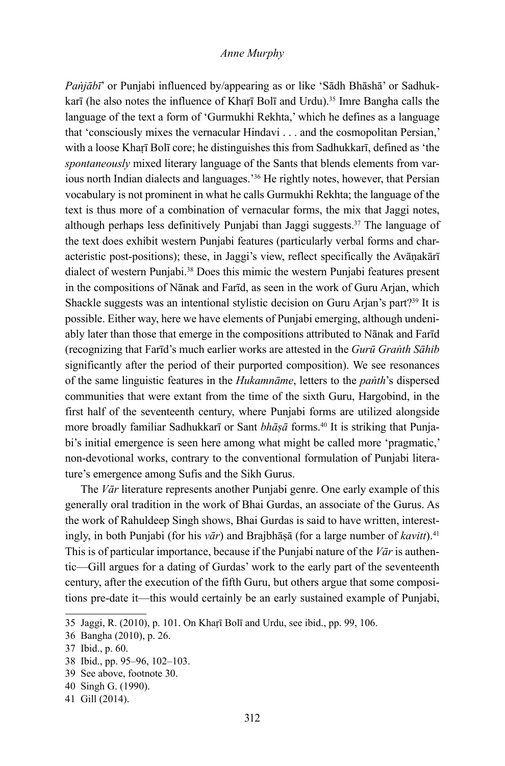*Paṅjābī*' or Punjabi influenced by/appearing as or like 'Sādh Bhāshā' or Sadhukkarī (he also notes the influence of Kharī Bolī and Urdu).<sup>35</sup> Imre Bangha calls the language of the text a form of 'Gurmukhi Rekhta,' which he defines as a language that 'consciously mixes the vernacular Hindavi . . . and the cosmopolitan Persian,' with a loose Kharī Bolī core; he distinguishes this from Sadhukkarī, defined as 'the *spontaneously* mixed literary language of the Sants that blends elements from various north Indian dialects and languages.'36 He rightly notes, however, that Persian vocabulary is not prominent in what he calls Gurmukhi Rekhta; the language of the text is thus more of a combination of vernacular forms, the mix that Jaggi notes, although perhaps less definitively Punjabi than Jaggi suggests. $37$  The language of the text does exhibit western Punjabi features (particularly verbal forms and characteristic post-positions); these, in Jaggi's view, reflect specifically the Avāṇakārī dialect of western Punjabi.38 Does this mimic the western Punjabi features present in the compositions of Nānak and Farīd, as seen in the work of Guru Arjan, which Shackle suggests was an intentional stylistic decision on Guru Arjan's part?<sup>39</sup> It is possible. Either way, here we have elements of Punjabi emerging, although undeniably later than those that emerge in the compositions attributed to Nānak and Farīd (recognizing that Farīd's much earlier works are attested in the *Gurū Graṅth Sāhib* significantly after the period of their purported composition). We see resonances of the same linguistic features in the *Hukamnāme*, letters to the *paṅth*'s dispersed communities that were extant from the time of the sixth Guru, Hargobind, in the first half of the seventeenth century, where Punjabi forms are utilized alongside more broadly familiar Sadhukkarī or Sant *bhāṣā* forms.<sup>40</sup> It is striking that Punjabi's initial emergence is seen here among what might be called more 'pragmatic,' non-devotional works, contrary to the conventional formulation of Punjabi literature's emergence among Sufis and the Sikh Gurus.

The *Vār* literature represents another Punjabi genre. One early example of this generally oral tradition in the work of Bhai Gurdas, an associate of the Gurus. As the work of Rahuldeep Singh shows, Bhai Gurdas is said to have written, interestingly, in both Punjabi (for his *vār*) and Brajbhāṣā (for a large number of *kavitt*).41 This is of particular importance, because if the Punjabi nature of the *Vār* is authentic—Gill argues for a dating of Gurdas' work to the early part of the seventeenth century, after the execution of the fifth Guru, but others argue that some compositions pre-date it—this would certainly be an early sustained example of Punjabi,

<sup>35</sup> Jaggi, R. (2010), p. 101. On Khaṛī Bolī and Urdu, see ibid., pp. 99, 106.

<sup>36</sup> Bangha (2010), p. 26.

<sup>37</sup> Ibid., p. 60.

<sup>38</sup> Ibid., pp. 95–96, 102–103.

<sup>39</sup> See above, footnote 30.

<sup>40</sup> Singh G. (1990).

<sup>41</sup> Gill (2014).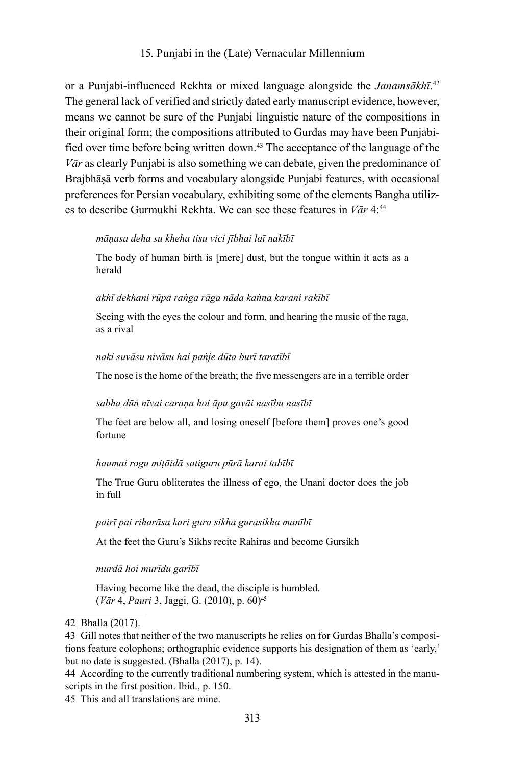or a Punjabi-influenced Rekhta or mixed language alongside the *Janamsākhī*. 42 The general lack of verified and strictly dated early manuscript evidence, however, means we cannot be sure of the Punjabi linguistic nature of the compositions in their original form; the compositions attributed to Gurdas may have been Punjabified over time before being written down.43 The acceptance of the language of the *Vār* as clearly Punjabi is also something we can debate, given the predominance of Brajbhāṣā verb forms and vocabulary alongside Punjabi features, with occasional preferences for Persian vocabulary, exhibiting some of the elements Bangha utilizes to describe Gurmukhi Rekhta. We can see these features in *Vār* 4:44

# *māṇasa deha su kheha tisu vici jībhai laī nakībī*

The body of human birth is [mere] dust, but the tongue within it acts as a herald

#### *akhī dekhani rūpa raṅga rāga nāda kaṅna karani rakībī*

Seeing with the eyes the colour and form, and hearing the music of the raga, as a rival

#### *naki suvāsu nivāsu hai paṅje dūta burī taratībī*

The nose is the home of the breath; the five messengers are in a terrible order

#### *sabha dūṅ nīvai caraṇa hoi āpu gavāi nasību nasībī*

The feet are below all, and losing oneself [before them] proves one's good fortune

#### *haumai rogu miṭāidā satiguru pūrā karai tabībī*

The True Guru obliterates the illness of ego, the Unani doctor does the job in full

#### *pairī pai riharāsa kari gura sikha gurasikha manībī*

At the feet the Guru's Sikhs recite Rahiras and become Gursikh

## *murdā hoi murīdu garībī*

Having become like the dead, the disciple is humbled. (*Vār* 4, *Pauri* 3, Jaggi, G. (2010), p. 60)45

<sup>42</sup> Bhalla (2017).

<sup>43</sup> Gill notes that neither of the two manuscripts he relies on for Gurdas Bhalla's compositions feature colophons; orthographic evidence supports his designation of them as 'early,' but no date is suggested. (Bhalla (2017), p. 14).

<sup>44</sup> According to the currently traditional numbering system, which is attested in the manuscripts in the first position. Ibid., p. 150.

<sup>45</sup> This and all translations are mine.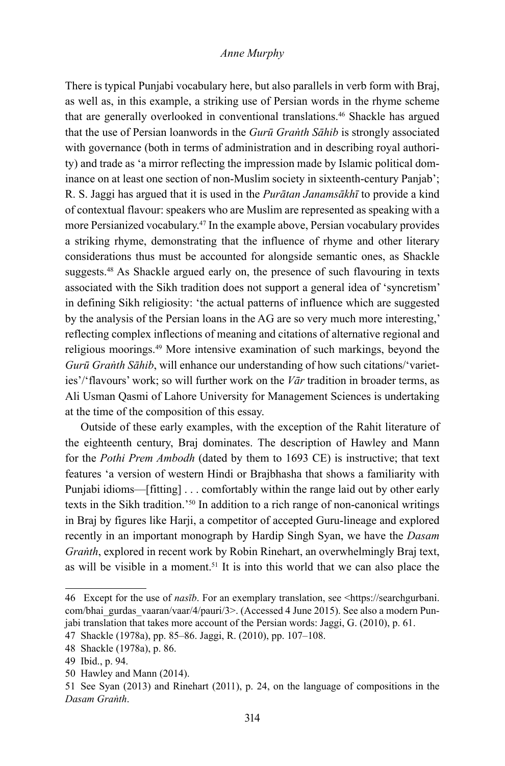There is typical Punjabi vocabulary here, but also parallels in verb form with Braj, as well as, in this example, a striking use of Persian words in the rhyme scheme that are generally overlooked in conventional translations.<sup>46</sup> Shackle has argued that the use of Persian loanwords in the *Gurū Graṅth Sāhib* is strongly associated with governance (both in terms of administration and in describing royal authority) and trade as 'a mirror reflecting the impression made by Islamic political dominance on at least one section of non-Muslim society in sixteenth-century Panjab'; R. S. Jaggi has argued that it is used in the *Purātan Janamsākhī* to provide a kind of contextual flavour: speakers who are Muslim are represented as speaking with a more Persianized vocabulary.47 In the example above, Persian vocabulary provides a striking rhyme, demonstrating that the influence of rhyme and other literary considerations thus must be accounted for alongside semantic ones, as Shackle suggests.<sup>48</sup> As Shackle argued early on, the presence of such flavouring in texts associated with the Sikh tradition does not support a general idea of 'syncretism' in defining Sikh religiosity: 'the actual patterns of influence which are suggested by the analysis of the Persian loans in the AG are so very much more interesting,' reflecting complex inflections of meaning and citations of alternative regional and religious moorings.49 More intensive examination of such markings, beyond the *Gurū Graṅth Sāhib*, will enhance our understanding of how such citations/'varieties'/'flavours' work; so will further work on the *Vār* tradition in broader terms, as Ali Usman Qasmi of Lahore University for Management Sciences is undertaking at the time of the composition of this essay.

Outside of these early examples, with the exception of the Rahit literature of the eighteenth century, Braj dominates. The description of Hawley and Mann for the *Pothi Prem Ambodh* (dated by them to 1693 CE) is instructive; that text features 'a version of western Hindi or Brajbhasha that shows a familiarity with Punjabi idioms—[fitting] . . . comfortably within the range laid out by other early texts in the Sikh tradition.'50 In addition to a rich range of non-canonical writings in Braj by figures like Harji, a competitor of accepted Guru-lineage and explored recently in an important monograph by Hardip Singh Syan, we have the *Dasam Graṅth*, explored in recent work by Robin Rinehart, an overwhelmingly Braj text, as will be visible in a moment.<sup>51</sup> It is into this world that we can also place the

<sup>46</sup> Except for the use of *nasīb*. For an exemplary translation, see <https://searchgurbani. com/bhai\_gurdas\_vaaran/vaar/4/pauri/3>. (Accessed 4 June 2015). See also a modern Punjabi translation that takes more account of the Persian words: Jaggi, G. (2010), p. 61.

<sup>47</sup> Shackle (1978a), pp. 85–86. Jaggi, R. (2010), pp. 107–108.

<sup>48</sup> Shackle (1978a), p. 86.

<sup>49</sup> Ibid., p. 94.

<sup>50</sup> Hawley and Mann (2014).

<sup>51</sup> See Syan (2013) and Rinehart (2011), p. 24, on the language of compositions in the *Dasam Graṅth*.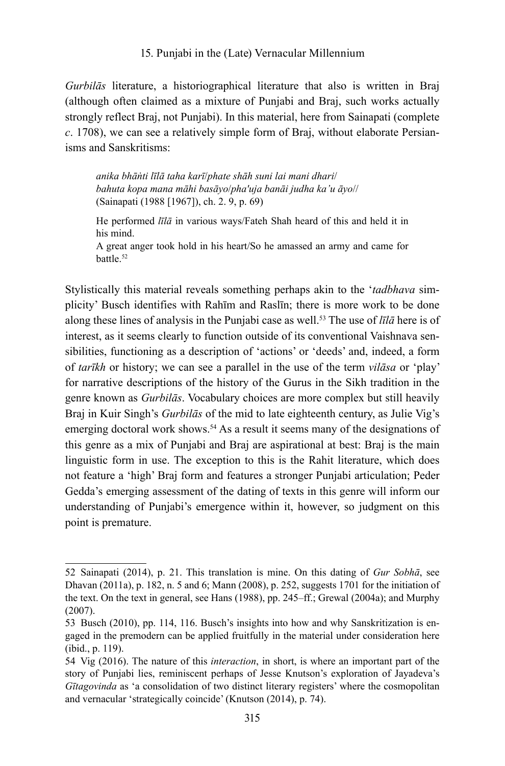*Gurbilās* literature, a historiographical literature that also is written in Braj (although often claimed as a mixture of Punjabi and Braj, such works actually strongly reflect Braj, not Punjabi). In this material, here from Sainapati (complete *c*. 1708), we can see a relatively simple form of Braj, without elaborate Persianisms and Sanskritisms:

*anika bhāṅti līlā taha karī*/*phate shāh suni lai mani dhari*/ *bahuta kopa mana māhi basāyo*/*pha'uja banāi judha ka'u āyo*// (Sainapati (1988 [1967]), ch. 2. 9, p. 69)

He performed *līlā* in various ways/Fateh Shah heard of this and held it in his mind.

A great anger took hold in his heart/So he amassed an army and came for battle.52

Stylistically this material reveals something perhaps akin to the '*tadbhava* simplicity' Busch identifies with Rahīm and Raslīn; there is more work to be done along these lines of analysis in the Punjabi case as well.53 The use of *līlā* here is of interest, as it seems clearly to function outside of its conventional Vaishnava sensibilities, functioning as a description of 'actions' or 'deeds' and, indeed, a form of *tarīkh* or history; we can see a parallel in the use of the term *vilāsa* or 'play' for narrative descriptions of the history of the Gurus in the Sikh tradition in the genre known as *Gurbilās*. Vocabulary choices are more complex but still heavily Braj in Kuir Singh's *Gurbilās* of the mid to late eighteenth century, as Julie Vig's emerging doctoral work shows.<sup>54</sup> As a result it seems many of the designations of this genre as a mix of Punjabi and Braj are aspirational at best: Braj is the main linguistic form in use. The exception to this is the Rahit literature, which does not feature a 'high' Braj form and features a stronger Punjabi articulation; Peder Gedda's emerging assessment of the dating of texts in this genre will inform our understanding of Punjabi's emergence within it, however, so judgment on this point is premature.

<sup>52</sup> Sainapati (2014), p. 21. This translation is mine. On this dating of *Gur Sobhā*, see Dhavan (2011a), p. 182, n. 5 and 6; Mann (2008), p. 252, suggests 1701 for the initiation of the text. On the text in general, see Hans (1988), pp. 245–ff.; Grewal (2004a); and Murphy (2007).

<sup>53</sup> Busch (2010), pp. 114, 116. Busch's insights into how and why Sanskritization is engaged in the premodern can be applied fruitfully in the material under consideration here (ibid., p. 119).

<sup>54</sup> Vig (2016). The nature of this *interaction*, in short, is where an important part of the story of Punjabi lies, reminiscent perhaps of Jesse Knutson's exploration of Jayadeva's *Gītagovinda* as 'a consolidation of two distinct literary registers' where the cosmopolitan and vernacular 'strategically coincide' (Knutson (2014), p. 74).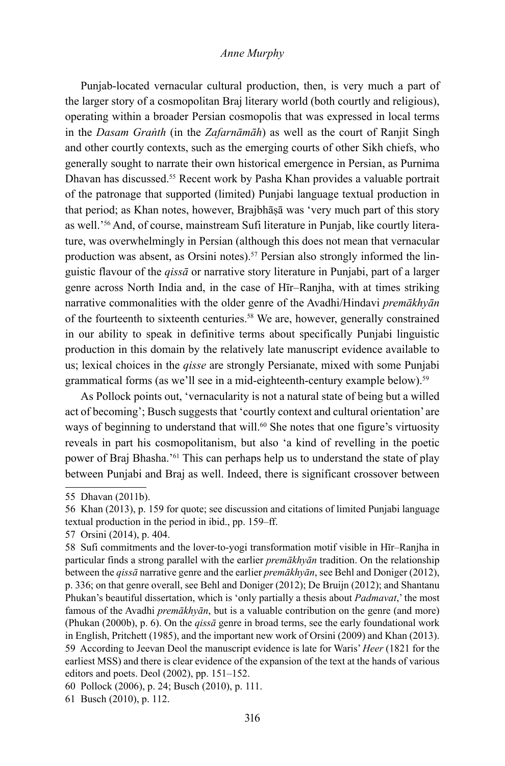Punjab-located vernacular cultural production, then, is very much a part of the larger story of a cosmopolitan Braj literary world (both courtly and religious), operating within a broader Persian cosmopolis that was expressed in local terms in the *Dasam Graṅth* (in the *Zafarnāmāh*) as well as the court of Ranjit Singh and other courtly contexts, such as the emerging courts of other Sikh chiefs, who generally sought to narrate their own historical emergence in Persian, as Purnima Dhavan has discussed.55 Recent work by Pasha Khan provides a valuable portrait of the patronage that supported (limited) Punjabi language textual production in that period; as Khan notes, however, Brajbhāṣā was 'very much part of this story as well.'56 And, of course, mainstream Sufi literature in Punjab, like courtly literature, was overwhelmingly in Persian (although this does not mean that vernacular production was absent, as Orsini notes).57 Persian also strongly informed the linguistic flavour of the *qissā* or narrative story literature in Punjabi, part of a larger genre across North India and, in the case of Hīr–Ranjha, with at times striking narrative commonalities with the older genre of the Avadhi/Hindavi *premākhyān*  of the fourteenth to sixteenth centuries.58 We are, however, generally constrained in our ability to speak in definitive terms about specifically Punjabi linguistic production in this domain by the relatively late manuscript evidence available to us; lexical choices in the *qisse* are strongly Persianate, mixed with some Punjabi grammatical forms (as we'll see in a mid-eighteenth-century example below).59

As Pollock points out, 'vernacularity is not a natural state of being but a willed act of becoming'; Busch suggests that 'courtly context and cultural orientation' are ways of beginning to understand that will.<sup>60</sup> She notes that one figure's virtuosity reveals in part his cosmopolitanism, but also 'a kind of revelling in the poetic power of Braj Bhasha.'61 This can perhaps help us to understand the state of play between Punjabi and Braj as well. Indeed, there is significant crossover between

<sup>55</sup> Dhavan (2011b).

<sup>56</sup> Khan (2013), p. 159 for quote; see discussion and citations of limited Punjabi language textual production in the period in ibid., pp. 159–ff.

<sup>57</sup> Orsini (2014), p. 404.

<sup>58</sup> Sufi commitments and the lover-to-yogi transformation motif visible in Hīr–Ranjha in particular finds a strong parallel with the earlier *premākhyān* tradition. On the relationship between the *qissā* narrative genre and the earlier *premākhyān*, see Behl and Doniger (2012), p. 336; on that genre overall, see Behl and Doniger (2012); De Bruijn (2012); and Shantanu Phukan's beautiful dissertation, which is 'only partially a thesis about *Padmavat*,' the most famous of the Avadhi *premākhyān*, but is a valuable contribution on the genre (and more) (Phukan (2000b), p. 6). On the *qissā* genre in broad terms, see the early foundational work in English, Pritchett (1985), and the important new work of Orsini (2009) and Khan (2013). 59 According to Jeevan Deol the manuscript evidence is late for Waris' *Heer* (1821 for the earliest MSS) and there is clear evidence of the expansion of the text at the hands of various editors and poets. Deol (2002), pp. 151–152.

<sup>60</sup> Pollock (2006), p. 24; Busch (2010), p. 111.

<sup>61</sup> Busch (2010), p. 112.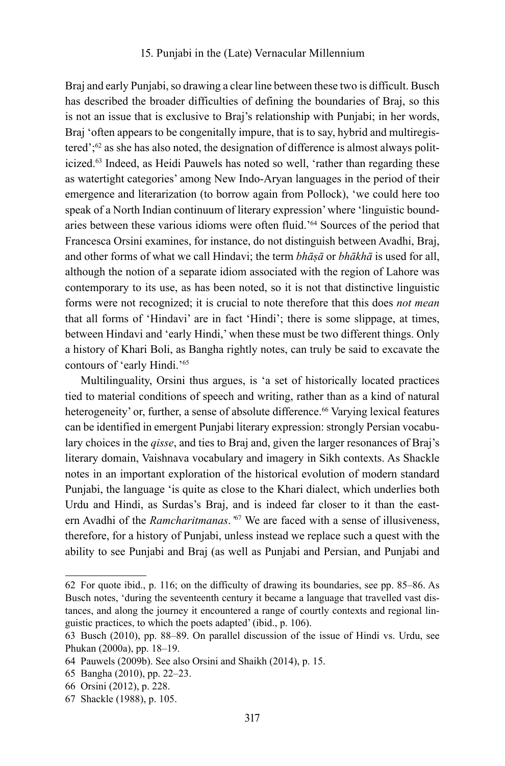Braj and early Punjabi, so drawing a clear line between these two is difficult. Busch has described the broader difficulties of defining the boundaries of Braj, so this is not an issue that is exclusive to Braj's relationship with Punjabi; in her words, Braj 'often appears to be congenitally impure, that is to say, hybrid and multiregistered';62 as she has also noted, the designation of difference is almost always politicized.63 Indeed, as Heidi Pauwels has noted so well, 'rather than regarding these as watertight categories' among New Indo-Aryan languages in the period of their emergence and literarization (to borrow again from Pollock), 'we could here too speak of a North Indian continuum of literary expression' where 'linguistic boundaries between these various idioms were often fluid.'64 Sources of the period that Francesca Orsini examines, for instance, do not distinguish between Avadhi, Braj, and other forms of what we call Hindavi; the term *bhāṣā* or *bhākhā* is used for all, although the notion of a separate idiom associated with the region of Lahore was contemporary to its use, as has been noted, so it is not that distinctive linguistic forms were not recognized; it is crucial to note therefore that this does *not mean*  that all forms of 'Hindavi' are in fact 'Hindi'; there is some slippage, at times, between Hindavi and 'early Hindi,' when these must be two different things. Only a history of Khari Boli, as Bangha rightly notes, can truly be said to excavate the contours of 'early Hindi.'65

Multilinguality, Orsini thus argues, is 'a set of historically located practices tied to material conditions of speech and writing, rather than as a kind of natural heterogeneity' or, further, a sense of absolute difference.<sup>66</sup> Varying lexical features can be identified in emergent Punjabi literary expression: strongly Persian vocabulary choices in the *qisse*, and ties to Braj and, given the larger resonances of Braj's literary domain, Vaishnava vocabulary and imagery in Sikh contexts. As Shackle notes in an important exploration of the historical evolution of modern standard Punjabi, the language 'is quite as close to the Khari dialect, which underlies both Urdu and Hindi, as Surdas's Braj, and is indeed far closer to it than the eastern Avadhi of the *Ramcharitmanas*.*'*67 We are faced with a sense of illusiveness, therefore, for a history of Punjabi, unless instead we replace such a quest with the ability to see Punjabi and Braj (as well as Punjabi and Persian, and Punjabi and

<sup>62</sup> For quote ibid., p. 116; on the difficulty of drawing its boundaries, see pp. 85–86. As Busch notes, 'during the seventeenth century it became a language that travelled vast distances, and along the journey it encountered a range of courtly contexts and regional linguistic practices, to which the poets adapted' (ibid., p. 106).

<sup>63</sup> Busch (2010), pp. 88–89. On parallel discussion of the issue of Hindi vs. Urdu, see Phukan (2000a), pp. 18–19.

<sup>64</sup> Pauwels (2009b). See also Orsini and Shaikh (2014), p. 15.

<sup>65</sup> Bangha (2010), pp. 22–23.

<sup>66</sup> Orsini (2012), p. 228.

<sup>67</sup> Shackle (1988), p. 105.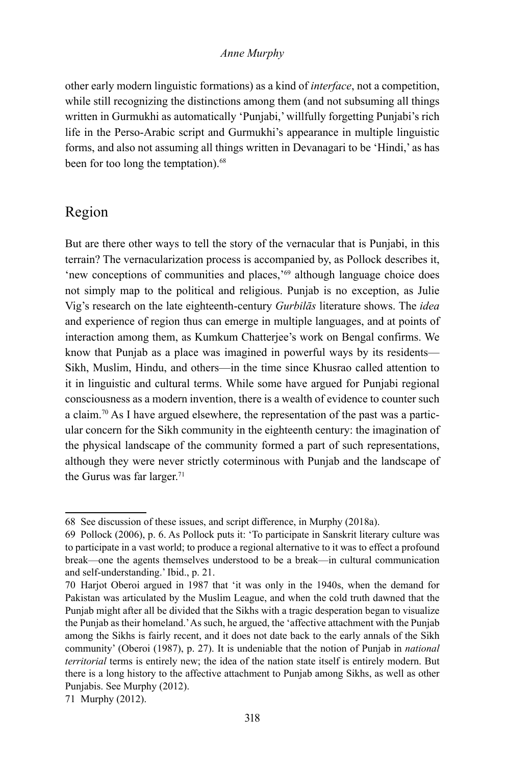other early modern linguistic formations) as a kind of *interface*, not a competition, while still recognizing the distinctions among them (and not subsuming all things written in Gurmukhi as automatically 'Punjabi,' willfully forgetting Punjabi's rich life in the Perso-Arabic script and Gurmukhi's appearance in multiple linguistic forms, and also not assuming all things written in Devanagari to be 'Hindi,' as has been for too long the temptation).<sup>68</sup>

# Region

But are there other ways to tell the story of the vernacular that is Punjabi, in this terrain? The vernacularization process is accompanied by, as Pollock describes it, 'new conceptions of communities and places,<sup>'69</sup> although language choice does not simply map to the political and religious. Punjab is no exception, as Julie Vig's research on the late eighteenth-century *Gurbilās* literature shows. The *idea*  and experience of region thus can emerge in multiple languages, and at points of interaction among them, as Kumkum Chatterjee's work on Bengal confirms. We know that Punjab as a place was imagined in powerful ways by its residents— Sikh, Muslim, Hindu, and others—in the time since Khusrao called attention to it in linguistic and cultural terms. While some have argued for Punjabi regional consciousness as a modern invention, there is a wealth of evidence to counter such a claim.70 As I have argued elsewhere, the representation of the past was a particular concern for the Sikh community in the eighteenth century: the imagination of the physical landscape of the community formed a part of such representations, although they were never strictly coterminous with Punjab and the landscape of the Gurus was far larger.<sup>71</sup>

<sup>68</sup> See discussion of these issues, and script difference, in Murphy (2018a).

<sup>69</sup> Pollock (2006), p. 6. As Pollock puts it: 'To participate in Sanskrit literary culture was to participate in a vast world; to produce a regional alternative to it was to effect a profound break—one the agents themselves understood to be a break—in cultural communication and self-understanding.' Ibid., p. 21.

<sup>70</sup> Harjot Oberoi argued in 1987 that 'it was only in the 1940s, when the demand for Pakistan was articulated by the Muslim League, and when the cold truth dawned that the Punjab might after all be divided that the Sikhs with a tragic desperation began to visualize the Punjab as their homeland.' As such, he argued, the 'affective attachment with the Punjab among the Sikhs is fairly recent, and it does not date back to the early annals of the Sikh community' (Oberoi (1987), p. 27). It is undeniable that the notion of Punjab in *national territorial* terms is entirely new; the idea of the nation state itself is entirely modern. But there is a long history to the affective attachment to Punjab among Sikhs, as well as other Punjabis. See Murphy (2012).

<sup>71</sup> Murphy (2012).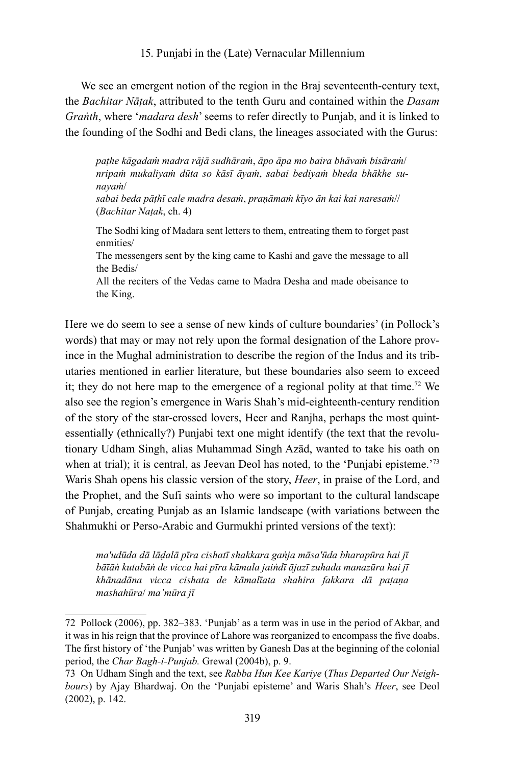We see an emergent notion of the region in the Braj seventeenth-century text, the *Bachitar Nāṭak*, attributed to the tenth Guru and contained within the *Dasam Graṅth*, where '*madara desh*' seems to refer directly to Punjab, and it is linked to the founding of the Sodhi and Bedi clans, the lineages associated with the Gurus:

*paṭhe kāgadaṁ madra rājā sudhāraṁ*, *āpo āpa mo baira bhāvaṁ bisāraṁ*/ *nripaṁ mukaliyaṁ dūta so kāsī āyaṁ*, *sabai bediyaṁ bheda bhākhe sunayaṁ*/

*sabai beda pāṭhī cale madra desaṁ*, *praṇāmaṁ kīyo ān kai kai naresaṁ*// (*Bachitar Naṭak*, ch. 4)

The Sodhi king of Madara sent letters to them, entreating them to forget past enmities/

The messengers sent by the king came to Kashi and gave the message to all the Bedis/

All the reciters of the Vedas came to Madra Desha and made obeisance to the King.

Here we do seem to see a sense of new kinds of culture boundaries' (in Pollock's words) that may or may not rely upon the formal designation of the Lahore province in the Mughal administration to describe the region of the Indus and its tributaries mentioned in earlier literature, but these boundaries also seem to exceed it; they do not here map to the emergence of a regional polity at that time.<sup>72</sup> We also see the region's emergence in Waris Shah's mid-eighteenth-century rendition of the story of the star-crossed lovers, Heer and Ranjha, perhaps the most quintessentially (ethnically?) Punjabi text one might identify (the text that the revolutionary Udham Singh, alias Muhammad Singh Azād, wanted to take his oath on when at trial); it is central, as Jeevan Deol has noted, to the 'Punjabi episteme.<sup>73</sup> Waris Shah opens his classic version of the story, *Heer*, in praise of the Lord, and the Prophet, and the Sufi saints who were so important to the cultural landscape of Punjab, creating Punjab as an Islamic landscape (with variations between the Shahmukhi or Perso-Arabic and Gurmukhi printed versions of the text):

*ma'udūda dā lāḍalā pīra cishatī shakkara gaṅja māsa'ūda bharapūra hai jī bāīāṅ kutabāṅ de vicca hai pīra kāmala jaiṅdī ājazī zuhada manazūra hai jī khānadāna vicca cishata de kāmalīata shahira fakkara dā paṭaṇa mashahūra*/ *ma'mūra jī*

<sup>72</sup> Pollock (2006), pp. 382–383. 'Punjab' as a term was in use in the period of Akbar, and it was in his reign that the province of Lahore was reorganized to encompass the five doabs. The first history of 'the Punjab' was written by Ganesh Das at the beginning of the colonial period, the *Char Bagh-i-Punjab.* Grewal (2004b), p. 9.

<sup>73</sup> On Udham Singh and the text, see *Rabba Hun Kee Kariye* (*Thus Departed Our Neighbours*) by Ajay Bhardwaj. On the 'Punjabi episteme' and Waris Shah's *Heer*, see Deol (2002), p. 142.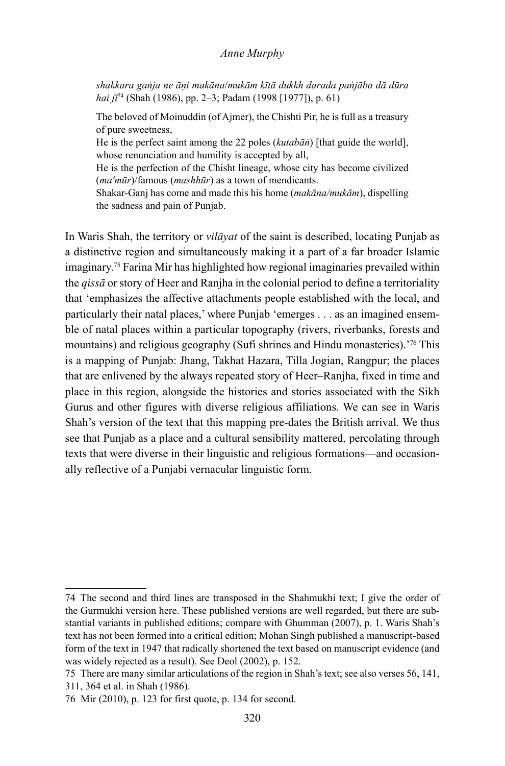*shakkara gaṅja ne āṇi makāna*/*mukām kītā dukkh darada paṅjāba dā dūra hai jī*74 (Shah (1986), pp. 2–3; Padam (1998 [1977]), p. 61)

The beloved of Moinuddin (of Ajmer), the Chishti Pir, he is full as a treasury of pure sweetness,

He is the perfect saint among the 22 poles (*kutabāṅ*) [that guide the world], whose renunciation and humility is accepted by all,

He is the perfection of the Chisht lineage, whose city has become civilized (*ma'mūr*)/famous (*mashhūr*) as a town of mendicants.

Shakar-Ganj has come and made this his home (*makāna/mukām*), dispelling the sadness and pain of Punjab.

In Waris Shah, the territory or *vilāyat* of the saint is described, locating Punjab as a distinctive region and simultaneously making it a part of a far broader Islamic imaginary.75 Farina Mir has highlighted how regional imaginaries prevailed within the *qissā* or story of Heer and Ranjha in the colonial period to define a territoriality that 'emphasizes the affective attachments people established with the local, and particularly their natal places,' where Punjab 'emerges . . . as an imagined ensemble of natal places within a particular topography (rivers, riverbanks, forests and mountains) and religious geography (Sufi shrines and Hindu monasteries).'76 This is a mapping of Punjab: Jhang, Takhat Hazara, Tilla Jogian, Rangpur; the places that are enlivened by the always repeated story of Heer–Ranjha, fixed in time and place in this region, alongside the histories and stories associated with the Sikh Gurus and other figures with diverse religious affiliations. We can see in Waris Shah's version of the text that this mapping pre-dates the British arrival. We thus see that Punjab as a place and a cultural sensibility mattered, percolating through texts that were diverse in their linguistic and religious formations—and occasionally reflective of a Punjabi vernacular linguistic form.

<sup>74</sup> The second and third lines are transposed in the Shahmukhi text; I give the order of the Gurmukhi version here. These published versions are well regarded, but there are substantial variants in published editions; compare with Ghumman (2007), p. 1. Waris Shah's text has not been formed into a critical edition; Mohan Singh published a manuscript-based form of the text in 1947 that radically shortened the text based on manuscript evidence (and was widely rejected as a result). See Deol (2002), p. 152.

<sup>75</sup> There are many similar articulations of the region in Shah's text; see also verses 56, 141, 311, 364 et al. in Shah (1986).

<sup>76</sup> Mir (2010), p. 123 for first quote, p. 134 for second.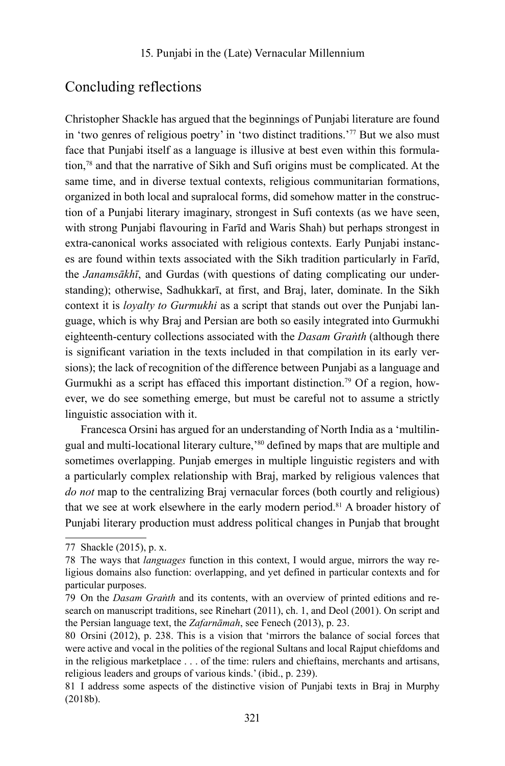# Concluding reflections

Christopher Shackle has argued that the beginnings of Punjabi literature are found in 'two genres of religious poetry' in 'two distinct traditions.'77 But we also must face that Punjabi itself as a language is illusive at best even within this formulation,78 and that the narrative of Sikh and Sufi origins must be complicated. At the same time, and in diverse textual contexts, religious communitarian formations, organized in both local and supralocal forms, did somehow matter in the construction of a Punjabi literary imaginary, strongest in Sufi contexts (as we have seen, with strong Punjabi flavouring in Farīd and Waris Shah) but perhaps strongest in extra-canonical works associated with religious contexts. Early Punjabi instances are found within texts associated with the Sikh tradition particularly in Farīd, the *Janamsākhī*, and Gurdas (with questions of dating complicating our understanding); otherwise, Sadhukkarī, at first, and Braj, later, dominate. In the Sikh context it is *loyalty to Gurmukhi* as a script that stands out over the Punjabi language, which is why Braj and Persian are both so easily integrated into Gurmukhi eighteenth-century collections associated with the *Dasam Graṅth* (although there is significant variation in the texts included in that compilation in its early versions); the lack of recognition of the difference between Punjabi as a language and Gurmukhi as a script has effaced this important distinction.<sup>79</sup> Of a region, however, we do see something emerge, but must be careful not to assume a strictly linguistic association with it.

Francesca Orsini has argued for an understanding of North India as a 'multilingual and multi-locational literary culture,<sup>30</sup> defined by maps that are multiple and sometimes overlapping. Punjab emerges in multiple linguistic registers and with a particularly complex relationship with Braj, marked by religious valences that *do not* map to the centralizing Braj vernacular forces (both courtly and religious) that we see at work elsewhere in the early modern period.81 A broader history of Punjabi literary production must address political changes in Punjab that brought

<sup>77</sup> Shackle (2015), p. x.

<sup>78</sup> The ways that *languages* function in this context, I would argue, mirrors the way religious domains also function: overlapping, and yet defined in particular contexts and for particular purposes.

<sup>79</sup> On the *Dasam Graṅth* and its contents, with an overview of printed editions and research on manuscript traditions, see Rinehart (2011), ch. 1, and Deol (2001). On script and the Persian language text, the *Zafarnāmah*, see Fenech (2013), p. 23.

<sup>80</sup> Orsini (2012), p. 238. This is a vision that 'mirrors the balance of social forces that were active and vocal in the polities of the regional Sultans and local Rajput chiefdoms and in the religious marketplace . . . of the time: rulers and chieftains, merchants and artisans, religious leaders and groups of various kinds.' (ibid., p. 239).

<sup>81</sup> I address some aspects of the distinctive vision of Punjabi texts in Braj in Murphy (2018b).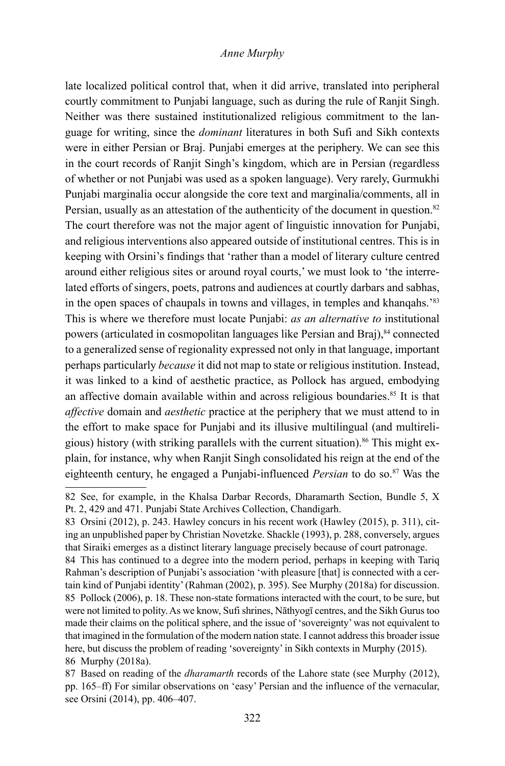late localized political control that, when it did arrive, translated into peripheral courtly commitment to Punjabi language, such as during the rule of Ranjit Singh. Neither was there sustained institutionalized religious commitment to the language for writing, since the *dominant* literatures in both Sufi and Sikh contexts were in either Persian or Braj. Punjabi emerges at the periphery. We can see this in the court records of Ranjit Singh's kingdom, which are in Persian (regardless of whether or not Punjabi was used as a spoken language). Very rarely, Gurmukhi Punjabi marginalia occur alongside the core text and marginalia/comments, all in Persian, usually as an attestation of the authenticity of the document in question.<sup>82</sup> The court therefore was not the major agent of linguistic innovation for Punjabi, and religious interventions also appeared outside of institutional centres. This is in keeping with Orsini's findings that 'rather than a model of literary culture centred around either religious sites or around royal courts,' we must look to 'the interrelated efforts of singers, poets, patrons and audiences at courtly darbars and sabhas, in the open spaces of chaupals in towns and villages, in temples and khanqahs.'83 This is where we therefore must locate Punjabi: *as an alternative to* institutional powers (articulated in cosmopolitan languages like Persian and Braj), <sup>84</sup> connected to a generalized sense of regionality expressed not only in that language, important perhaps particularly *because* it did not map to state or religious institution. Instead, it was linked to a kind of aesthetic practice, as Pollock has argued, embodying an affective domain available within and across religious boundaries.<sup>85</sup> It is that *affective* domain and *aesthetic* practice at the periphery that we must attend to in the effort to make space for Punjabi and its illusive multilingual (and multireligious) history (with striking parallels with the current situation).<sup>86</sup> This might explain, for instance, why when Ranjit Singh consolidated his reign at the end of the eighteenth century, he engaged a Punjabi-influenced *Persian* to do so.87 Was the

<sup>82</sup> See, for example, in the Khalsa Darbar Records, Dharamarth Section, Bundle 5, X Pt. 2, 429 and 471. Punjabi State Archives Collection, Chandigarh.

<sup>83</sup> Orsini (2012), p. 243. Hawley concurs in his recent work (Hawley (2015), p. 311), citing an unpublished paper by Christian Novetzke. Shackle (1993), p. 288, conversely, argues that Siraiki emerges as a distinct literary language precisely because of court patronage.

<sup>84</sup> This has continued to a degree into the modern period, perhaps in keeping with Tariq Rahman's description of Punjabi's association 'with pleasure [that] is connected with a certain kind of Punjabi identity' (Rahman (2002), p. 395). See Murphy (2018a) for discussion. 85 Pollock (2006), p. 18. These non-state formations interacted with the court, to be sure, but were not limited to polity. As we know, Sufi shrines, Nāthyogī centres, and the Sikh Gurus too made their claims on the political sphere, and the issue of 'sovereignty' was not equivalent to that imagined in the formulation of the modern nation state. I cannot address this broader issue here, but discuss the problem of reading 'sovereignty' in Sikh contexts in Murphy (2015). 86 Murphy (2018a).

<sup>87</sup> Based on reading of the *dharamarth* records of the Lahore state (see Murphy (2012), pp. 165–ff) For similar observations on 'easy' Persian and the influence of the vernacular, see Orsini (2014), pp. 406–407.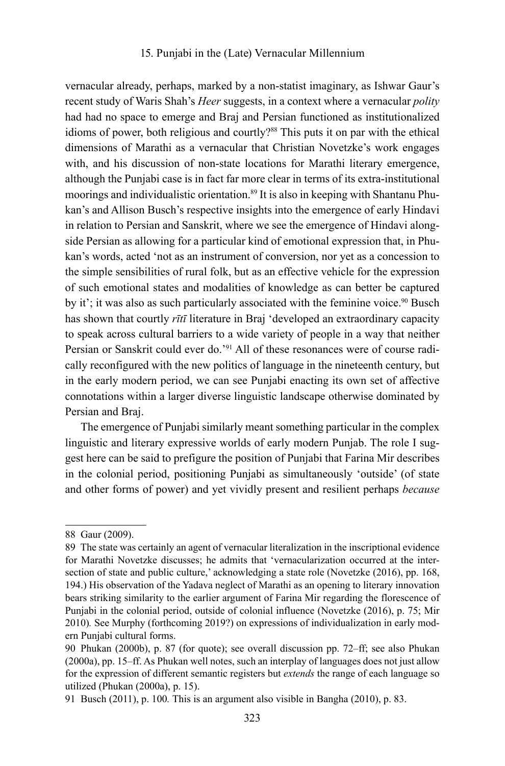vernacular already, perhaps, marked by a non-statist imaginary, as Ishwar Gaur's recent study of Waris Shah's *Heer* suggests, in a context where a vernacular *polity* had had no space to emerge and Braj and Persian functioned as institutionalized idioms of power, both religious and courtly?88 This puts it on par with the ethical dimensions of Marathi as a vernacular that Christian Novetzke's work engages with, and his discussion of non-state locations for Marathi literary emergence, although the Punjabi case is in fact far more clear in terms of its extra-institutional moorings and individualistic orientation.89 It is also in keeping with Shantanu Phukan's and Allison Busch's respective insights into the emergence of early Hindavi in relation to Persian and Sanskrit, where we see the emergence of Hindavi alongside Persian as allowing for a particular kind of emotional expression that, in Phukan's words, acted 'not as an instrument of conversion, nor yet as a concession to the simple sensibilities of rural folk, but as an effective vehicle for the expression of such emotional states and modalities of knowledge as can better be captured by it'; it was also as such particularly associated with the feminine voice.<sup>90</sup> Busch has shown that courtly *rītī* literature in Braj 'developed an extraordinary capacity to speak across cultural barriers to a wide variety of people in a way that neither Persian or Sanskrit could ever do.'91 All of these resonances were of course radically reconfigured with the new politics of language in the nineteenth century, but in the early modern period, we can see Punjabi enacting its own set of affective connotations within a larger diverse linguistic landscape otherwise dominated by Persian and Braj.

The emergence of Punjabi similarly meant something particular in the complex linguistic and literary expressive worlds of early modern Punjab. The role I suggest here can be said to prefigure the position of Punjabi that Farina Mir describes in the colonial period, positioning Punjabi as simultaneously 'outside' (of state and other forms of power) and yet vividly present and resilient perhaps *because* 

<sup>88</sup> Gaur (2009).

<sup>89</sup> The state was certainly an agent of vernacular literalization in the inscriptional evidence for Marathi Novetzke discusses; he admits that 'vernacularization occurred at the intersection of state and public culture,' acknowledging a state role (Novetzke (2016), pp. 168, 194.) His observation of the Yadava neglect of Marathi as an opening to literary innovation bears striking similarity to the earlier argument of Farina Mir regarding the florescence of Punjabi in the colonial period, outside of colonial influence (Novetzke (2016), p. 75; Mir 2010)*.* See Murphy (forthcoming 2019?) on expressions of individualization in early modern Punjabi cultural forms.

<sup>90</sup> Phukan (2000b), p. 87 (for quote); see overall discussion pp. 72–ff; see also Phukan (2000a), pp. 15–ff. As Phukan well notes, such an interplay of languages does not just allow for the expression of different semantic registers but *extends* the range of each language so utilized (Phukan (2000a), p. 15).

<sup>91</sup> Busch (2011), p. 100*.* This is an argument also visible in Bangha (2010), p. 83.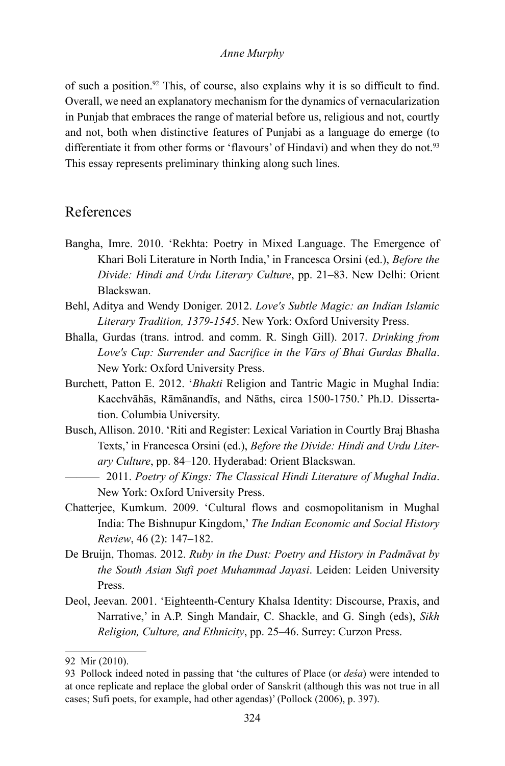of such a position.92 This, of course, also explains why it is so difficult to find. Overall, we need an explanatory mechanism for the dynamics of vernacularization in Punjab that embraces the range of material before us, religious and not, courtly and not, both when distinctive features of Punjabi as a language do emerge (to differentiate it from other forms or 'flavours' of Hindavi) and when they do not.<sup>93</sup> This essay represents preliminary thinking along such lines.

# References

- Bangha, Imre. 2010. 'Rekhta: Poetry in Mixed Language. The Emergence of Khari Boli Literature in North India,' in Francesca Orsini (ed.), *Before the Divide: Hindi and Urdu Literary Culture*, pp. 21–83. New Delhi: Orient Blackswan.
- Behl, Aditya and Wendy Doniger. 2012. *Love's Subtle Magic: an Indian Islamic Literary Tradition, 1379-1545*. New York: Oxford University Press.
- Bhalla, Gurdas (trans. introd. and comm. R. Singh Gill). 2017. *Drinking from Love's Cup: Surrender and Sacrifice in the Vārs of Bhai Gurdas Bhalla*. New York: Oxford University Press.
- Burchett, Patton E. 2012. '*Bhakti* Religion and Tantric Magic in Mughal India: Kacchvāhās, Rāmānandīs, and Nāths, circa 1500-1750.' Ph.D. Dissertation. Columbia University.
- Busch, Allison. 2010. 'Riti and Register: Lexical Variation in Courtly Braj Bhasha Texts,' in Francesca Orsini (ed.), *Before the Divide: Hindi and Urdu Literary Culture*, pp. 84–120. Hyderabad: Orient Blackswan.
	- ——— 2011. *Poetry of Kings: The Classical Hindi Literature of Mughal India*. New York: Oxford University Press.
- Chatterjee, Kumkum. 2009. 'Cultural flows and cosmopolitanism in Mughal India: The Bishnupur Kingdom,' *The Indian Economic and Social History Review*, 46 (2): 147–182.
- De Bruijn, Thomas. 2012. *Ruby in the Dust: Poetry and History in Padmāvat by the South Asian Sufi poet Muhammad Jayasi*. Leiden: Leiden University Press.
- Deol, Jeevan. 2001. 'Eighteenth-Century Khalsa Identity: Discourse, Praxis, and Narrative,' in A.P. Singh Mandair, C. Shackle, and G. Singh (eds), *Sikh Religion, Culture, and Ethnicity*, pp. 25–46. Surrey: Curzon Press.

<sup>92</sup> Mir (2010).

<sup>93</sup> Pollock indeed noted in passing that 'the cultures of Place (or *deśa*) were intended to at once replicate and replace the global order of Sanskrit (although this was not true in all cases; Sufi poets, for example, had other agendas)' (Pollock (2006), p. 397).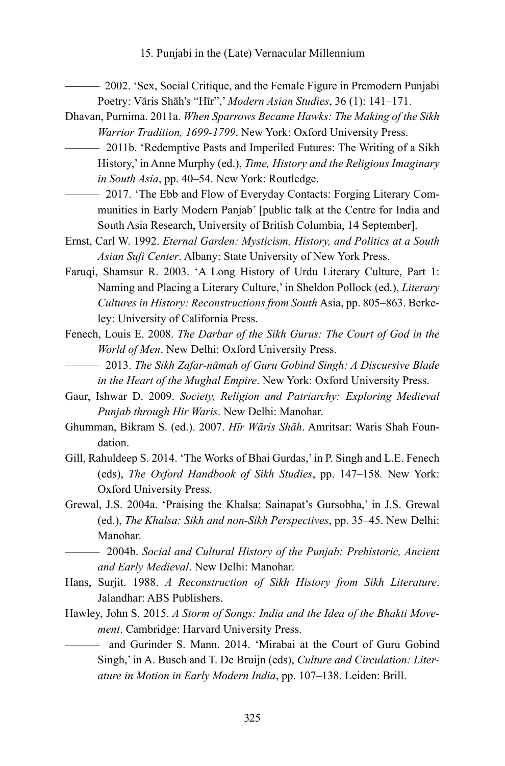——— 2002. 'Sex, Social Critique, and the Female Figure in Premodern Punjabi Poetry: Vāris Shāh's "Hīr",' *Modern Asian Studies*, 36 (1): 141–171.

- Dhavan, Purnima. 2011a. *When Sparrows Became Hawks: The Making of the Sikh Warrior Tradition, 1699-1799*. New York: Oxford University Press.
	- ——— 2011b. 'Redemptive Pasts and Imperiled Futures: The Writing of a Sikh History,' in Anne Murphy (ed.), *Time, History and the Religious Imaginary in South Asia*, pp. 40–54. New York: Routledge.
- ——— 2017. 'The Ebb and Flow of Everyday Contacts: Forging Literary Communities in Early Modern Panjab' [public talk at the Centre for India and South Asia Research, University of British Columbia, 14 September].
- Ernst, Carl W. 1992. *Eternal Garden: Mysticism, History, and Politics at a South Asian Sufi Center*. Albany: State University of New York Press.
- Faruqi, Shamsur R. 2003. 'A Long History of Urdu Literary Culture, Part 1: Naming and Placing a Literary Culture,' in Sheldon Pollock (ed.), *Literary Cultures in History: Reconstructions from South* Asia, pp. 805–863. Berkeley: University of California Press.
- Fenech, Louis E. 2008. *The Darbar of the Sikh Gurus: The Court of God in the World of Men*. New Delhi: Oxford University Press.
	- ——— 2013. *The Sikh Zafar-nāmah of Guru Gobind Singh: A Discursive Blade in the Heart of the Mughal Empire*. New York: Oxford University Press.
- Gaur, Ishwar D. 2009. *Society, Religion and Patriarchy: Exploring Medieval Punjab through Hir Waris*. New Delhi: Manohar.
- Ghumman, Bikram S. (ed.). 2007. *Hīr Wāris Shāh*. Amritsar: Waris Shah Foundation.
- Gill, Rahuldeep S. 2014. 'The Works of Bhai Gurdas,' in P. Singh and L.E. Fenech (eds), *The Oxford Handbook of Sikh Studies*, pp. 147–158*.* New York: Oxford University Press.
- Grewal, J.S. 2004a. 'Praising the Khalsa: Sainapat's Gursobha,' in J.S. Grewal (ed.), *The Khalsa: Sikh and non-Sikh Perspectives*, pp. 35–45. New Delhi: Manohar.

——— 2004b. *Social and Cultural History of the Punjab: Prehistoric, Ancient and Early Medieval*. New Delhi: Manohar.

- Hans, Surjit. 1988. *A Reconstruction of Sikh History from Sikh Literature*. Jalandhar: ABS Publishers.
- Hawley, John S. 2015. *A Storm of Songs: India and the Idea of the Bhakti Movement*. Cambridge: Harvard University Press.
- and Gurinder S. Mann. 2014. 'Mirabai at the Court of Guru Gobind Singh,' in A. Busch and T. De Bruijn (eds), *Culture and Circulation: Literature in Motion in Early Modern India*, pp. 107–138. Leiden: Brill.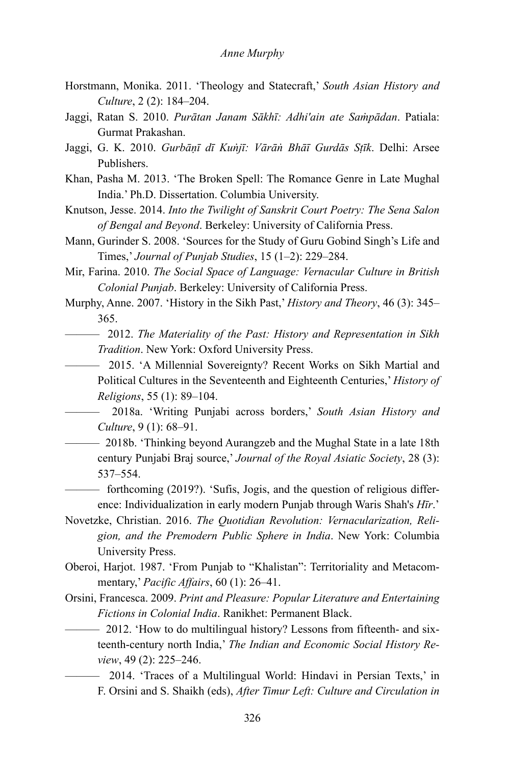- Horstmann, Monika. 2011. 'Theology and Statecraft,' *South Asian History and Culture*, 2 (2): 184–204.
- Jaggi, Ratan S. 2010. *Purātan Janam Sākhī: Adhi'ain ate Saṁpādan*. Patiala: Gurmat Prakashan.
- Jaggi, G. K. 2010. *Gurbāṇī dī Kuṅjī: Vārāṅ Bhāī Gurdās Sṭīk*. Delhi: Arsee Publishers.
- Khan, Pasha M. 2013. 'The Broken Spell: The Romance Genre in Late Mughal India.' Ph.D. Dissertation. Columbia University.
- Knutson, Jesse. 2014. *Into the Twilight of Sanskrit Court Poetry: The Sena Salon of Bengal and Beyond*. Berkeley: University of California Press.
- Mann, Gurinder S. 2008. 'Sources for the Study of Guru Gobind Singh's Life and Times,' *Journal of Punjab Studies*, 15 (1–2): 229–284.
- Mir, Farina. 2010. *The Social Space of Language: Vernacular Culture in British Colonial Punjab*. Berkeley: University of California Press.
- Murphy, Anne. 2007. 'History in the Sikh Past,' *History and Theory*, 46 (3): 345– 365.
	- ——— 2012. *The Materiality of the Past: History and Representation in Sikh Tradition*. New York: Oxford University Press.
		- ——— 2015. 'A Millennial Sovereignty? Recent Works on Sikh Martial and Political Cultures in the Seventeenth and Eighteenth Centuries,' *History of Religions*, 55 (1): 89–104.
		- ——— 2018a. 'Writing Punjabi across borders,' *South Asian History and Culture*, 9 (1): 68–91.
	- ——— 2018b. 'Thinking beyond Aurangzeb and the Mughal State in a late 18th century Punjabi Braj source,' *Journal of the Royal Asiatic Society*, 28 (3): 537–554.

——— forthcoming (2019?). 'Sufis, Jogis, and the question of religious difference: Individualization in early modern Punjab through Waris Shah's *Hīr*.'

- Novetzke, Christian. 2016. *The Quotidian Revolution: Vernacularization, Religion, and the Premodern Public Sphere in India*. New York: Columbia University Press.
- Oberoi, Harjot. 1987. 'From Punjab to "Khalistan": Territoriality and Metacommentary,' *Pacific Affairs*, 60 (1): 26–41.
- Orsini, Francesca. 2009. *Print and Pleasure: Popular Literature and Entertaining Fictions in Colonial India*. Ranikhet: Permanent Black.
	- ——— 2012. 'How to do multilingual history? Lessons from fifteenth- and sixteenth-century north India,' *The Indian and Economic Social History Review*, 49 (2): 225–246.
		- ——— 2014. 'Traces of a Multilingual World: Hindavi in Persian Texts,' in F. Orsini and S. Shaikh (eds), *After Timur Left: Culture and Circulation in*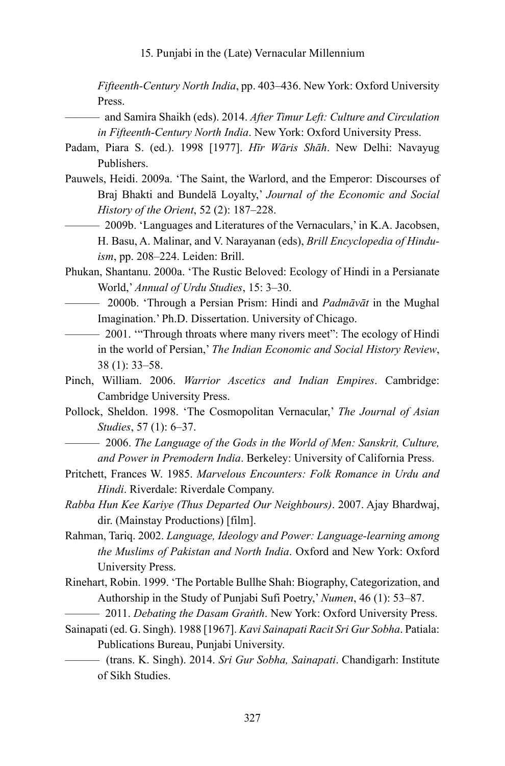*Fifteenth-Century North India*, pp. 403–436. New York: Oxford University Press.

- ——— and Samira Shaikh (eds). 2014. *After Timur Left: Culture and Circulation in Fifteenth-Century North India*. New York: Oxford University Press.
- Padam, Piara S. (ed.). 1998 [1977]. *Hīr Wāris Shāh*. New Delhi: Navayug Publishers.
- Pauwels, Heidi. 2009a. 'The Saint, the Warlord, and the Emperor: Discourses of Braj Bhakti and Bundelā Loyalty,' *Journal of the Economic and Social History of the Orient*, 52 (2): 187–228.
	- ——— 2009b. 'Languages and Literatures of the Vernaculars,' in K.A. Jacobsen, H. Basu, A. Malinar, and V. Narayanan (eds), *Brill Encyclopedia of Hinduism*, pp. 208–224. Leiden: Brill.
- Phukan, Shantanu. 2000a. 'The Rustic Beloved: Ecology of Hindi in a Persianate World,' *Annual of Urdu Studies*, 15: 3–30.
	- ——— 2000b. 'Through a Persian Prism: Hindi and *Padmāvāt* in the Mughal Imagination.' Ph.D. Dissertation. University of Chicago.
	- <sup>2001</sup>. "Through throats where many rivers meet": The ecology of Hindi in the world of Persian,' *The Indian Economic and Social History Review*, 38 (1): 33–58.
- Pinch, William. 2006. *Warrior Ascetics and Indian Empires*. Cambridge: Cambridge University Press.
- Pollock, Sheldon. 1998. 'The Cosmopolitan Vernacular,' *The Journal of Asian Studies*, 57 (1): 6–37.
	- ——— 2006. *The Language of the Gods in the World of Men: Sanskrit, Culture, and Power in Premodern India*. Berkeley: University of California Press.
- Pritchett, Frances W. 1985. *Marvelous Encounters: Folk Romance in Urdu and Hindi*. Riverdale: Riverdale Company.
- *Rabba Hun Kee Kariye (Thus Departed Our Neighbours)*. 2007. Ajay Bhardwaj, dir. (Mainstay Productions) [film].
- Rahman, Tariq. 2002. *Language, Ideology and Power: Language-learning among the Muslims of Pakistan and North India*. Oxford and New York: Oxford University Press.
- Rinehart, Robin. 1999. 'The Portable Bullhe Shah: Biography, Categorization, and Authorship in the Study of Punjabi Sufi Poetry,' *Numen*, 46 (1): 53–87.
	- ——— 2011. *Debating the Dasam Graṅth*. New York: Oxford University Press.
- Sainapati (ed. G. Singh). 1988 [1967]. *Kavi Sainapati Racit Sri Gur Sobha*. Patiala: Publications Bureau, Punjabi University.
	- ——— (trans. K. Singh). 2014. *Sri Gur Sobha, Sainapati*. Chandigarh: Institute of Sikh Studies.